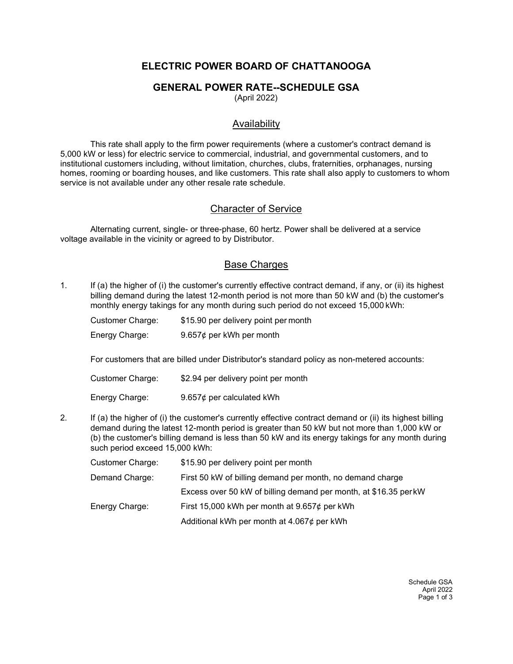# ELECTRIC POWER BOARD OF CHATTANOOGA

## GENERAL POWER RATE--SCHEDULE GSA

(April 2022)

## Availability

This rate shall apply to the firm power requirements (where a customer's contract demand is 5,000 kW or less) for electric service to commercial, industrial, and governmental customers, and to institutional customers including, without limitation, churches, clubs, fraternities, orphanages, nursing homes, rooming or boarding houses, and like customers. This rate shall also apply to customers to whom service is not available under any other resale rate schedule.

### Character of Service

Alternating current, single- or three-phase, 60 hertz. Power shall be delivered at a service voltage available in the vicinity or agreed to by Distributor.

### Base Charges

1. If (a) the higher of (i) the customer's currently effective contract demand, if any, or (ii) its highest billing demand during the latest 12-month period is not more than 50 kW and (b) the customer's monthly energy takings for any month during such period do not exceed 15,000 kWh:

| Customer Charge: | \$15.90 per delivery point per month |
|------------------|--------------------------------------|
| Energy Charge:   | 9.657¢ per kWh per month             |

For customers that are billed under Distributor's standard policy as non-metered accounts:

| Customer Charge: | \$2.94 per delivery point per month |
|------------------|-------------------------------------|
| Energy Charge:   | 9.657 $\phi$ per calculated kWh     |

- 
- 2. If (a) the higher of (i) the customer's currently effective contract demand or (ii) its highest billing demand during the latest 12-month period is greater than 50 kW but not more than 1,000 kW or (b) the customer's billing demand is less than 50 kW and its energy takings for any month during such period exceed 15,000 kWh:

| Customer Charge: | \$15.90 per delivery point per month                             |
|------------------|------------------------------------------------------------------|
| Demand Charge:   | First 50 kW of billing demand per month, no demand charge        |
|                  | Excess over 50 kW of billing demand per month, at \$16.35 per kW |
| Energy Charge:   | First 15,000 kWh per month at $9.657¢$ per kWh                   |
|                  | Additional kWh per month at $4.067¢$ per kWh                     |

Schedule GSA April 2022 Page 1 of 3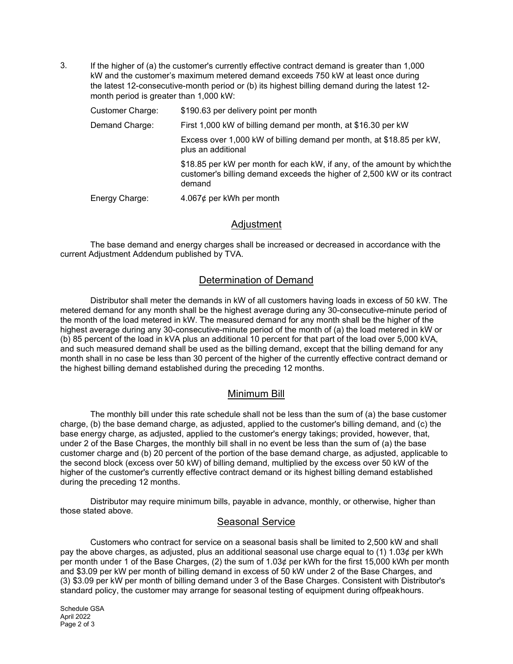3. If the higher of (a) the customer's currently effective contract demand is greater than 1,000 kW and the customer's maximum metered demand exceeds 750 kW at least once during the latest 12-consecutive-month period or (b) its highest billing demand during the latest 12 month period is greater than 1,000 kW:

| <b>Customer Charge:</b> | \$190.63 per delivery point per month                                                                                                                          |
|-------------------------|----------------------------------------------------------------------------------------------------------------------------------------------------------------|
| Demand Charge:          | First 1,000 kW of billing demand per month, at \$16.30 per kW                                                                                                  |
|                         | Excess over 1,000 kW of billing demand per month, at \$18.85 per kW,<br>plus an additional                                                                     |
|                         | \$18.85 per kW per month for each kW, if any, of the amount by which the<br>customer's billing demand exceeds the higher of 2,500 kW or its contract<br>demand |
| Energy Charge:          | 4.067¢ per kWh per month                                                                                                                                       |

### Adjustment

The base demand and energy charges shall be increased or decreased in accordance with the current Adjustment Addendum published by TVA.

# Determination of Demand

Distributor shall meter the demands in kW of all customers having loads in excess of 50 kW. The metered demand for any month shall be the highest average during any 30-consecutive-minute period of the month of the load metered in kW. The measured demand for any month shall be the higher of the highest average during any 30-consecutive-minute period of the month of (a) the load metered in kW or (b) 85 percent of the load in kVA plus an additional 10 percent for that part of the load over 5,000 kVA, and such measured demand shall be used as the billing demand, except that the billing demand for any month shall in no case be less than 30 percent of the higher of the currently effective contract demand or the highest billing demand established during the preceding 12 months.

### Minimum Bill

The monthly bill under this rate schedule shall not be less than the sum of (a) the base customer charge, (b) the base demand charge, as adjusted, applied to the customer's billing demand, and (c) the base energy charge, as adjusted, applied to the customer's energy takings; provided, however, that, under 2 of the Base Charges, the monthly bill shall in no event be less than the sum of (a) the base customer charge and (b) 20 percent of the portion of the base demand charge, as adjusted, applicable to the second block (excess over 50 kW) of billing demand, multiplied by the excess over 50 kW of the higher of the customer's currently effective contract demand or its highest billing demand established during the preceding 12 months.

Distributor may require minimum bills, payable in advance, monthly, or otherwise, higher than those stated above.

# Seasonal Service

Customers who contract for service on a seasonal basis shall be limited to 2,500 kW and shall pay the above charges, as adjusted, plus an additional seasonal use charge equal to (1) 1.03¢ per kWh per month under 1 of the Base Charges, (2) the sum of 1.03¢ per kWh for the first 15,000 kWh per month and \$3.09 per kW per month of billing demand in excess of 50 kW under 2 of the Base Charges, and (3) \$3.09 per kW per month of billing demand under 3 of the Base Charges. Consistent with Distributor's standard policy, the customer may arrange for seasonal testing of equipment during offpeak hours.

Schedule GSA April 2022 Page 2 of 3